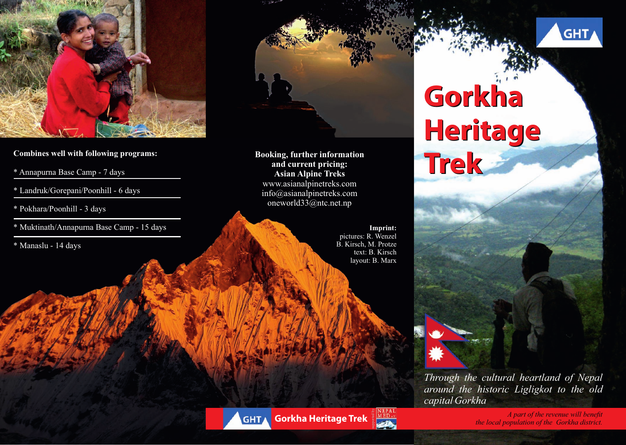

- \* Annapurna Base Camp 7 days
- \* Landruk/Gorepani/Poonhill 6 days
- \* Pokhara/Poonhill 3 days
- \* Muktinath/Annapurna Base Camp 15 days
- \* Manaslu 14 days



**Trees Combines well with following programs:**<br> **Trees Annapurna Base Camp - 7 days**<br> **Trees Asian Alpine Treks Booking, further information and current pricing: Asian Alpine Treks** www.asianalpinetreks.com info@asianalpinetreks.com oneworld33@ntc.net.np

> **Imprint:** pictures: R. Wenzel B. Kirsch, M. Protze text: B. Kirsch layout: B. Marx

# **Gorkha Heritage**

*Through the cultural heartland of Nepal around the historic Ligligkot to the old capital Gorkha*



*A part of the revenue will benefit* **<b>Gorkha Heritage Trek** *the local population of the revenue will benefit**the local population of the Gorkha district.*